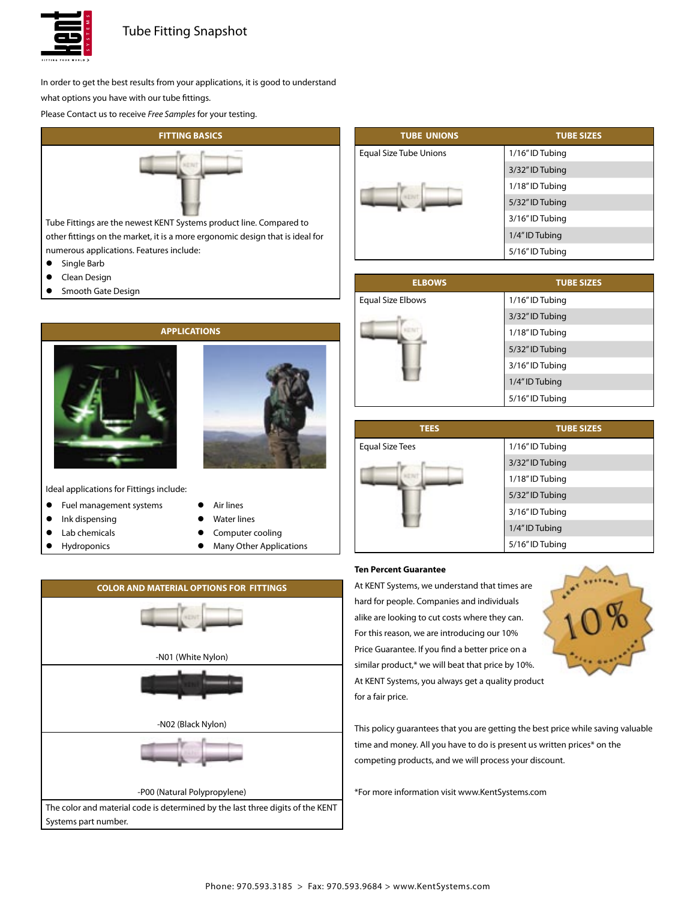

# Tube Fitting Snapshot

In order to get the best results from your applications, it is good to understand what options you have with our tube fittings.

Please Contact us to receive Free Samples for your testing.



Tube Fittings are the newest KENT Systems product line. Compared to other fittings on the market, it is a more ergonomic design that is ideal for numerous applications. Features include:

- **•** Single Barb
- **•** Clean Design
- Smooth Gate Design



Ideal applications for Fittings include:

- **•** Fuel management systems
- Ink dispensing
- Lab chemicals
- **Hydroponics**
- Air lines **Water lines**
- **•** Computer cooling
- **•** Many Other Applications



| <b>TUBE UNIONS</b>     | <b>TUBE SIZES</b> |
|------------------------|-------------------|
| Equal Size Tube Unions | 1/16" ID Tubing   |
|                        | 3/32" ID Tubing   |
|                        | 1/18" ID Tubing   |
|                        | 5/32" ID Tubing   |
|                        | 3/16" ID Tubing   |
|                        | 1/4" ID Tubing    |
|                        | 5/16" ID Tubing   |

| <b>ELBOWS</b>     | <b>TUBE SIZES</b> |
|-------------------|-------------------|
| Equal Size Elbows | 1/16" ID Tubing   |
|                   | 3/32" ID Tubing   |
|                   | 1/18" ID Tubing   |
|                   | 5/32" ID Tubing   |
|                   | 3/16" ID Tubing   |
|                   | 1/4" ID Tubing    |
|                   | 5/16" ID Tubing   |

| <b>TEES</b>            | <b>TUBE SIZES</b> |
|------------------------|-------------------|
| <b>Equal Size Tees</b> | 1/16" ID Tubing   |
|                        | 3/32" ID Tubing   |
|                        | 1/18" ID Tubing   |
|                        | 5/32" ID Tubing   |
|                        | 3/16" ID Tubing   |
|                        | 1/4" ID Tubing    |
|                        | 5/16" ID Tubing   |

# **Ten Percent Guarantee**

At KENT Systems, we understand that times are hard for people. Companies and individuals alike are looking to cut costs where they can. For this reason, we are introducing our 10% Price Guarantee. If you find a better price on a similar product,\* we will beat that price by 10%. At KENT Systems, you always get a quality product for a fair price.



This policy guarantees that you are getting the best price while saving valuable time and money. All you have to do is present us written prices\* on the competing products, and we will process your discount.

\*For more information visit www.KentSystems.com